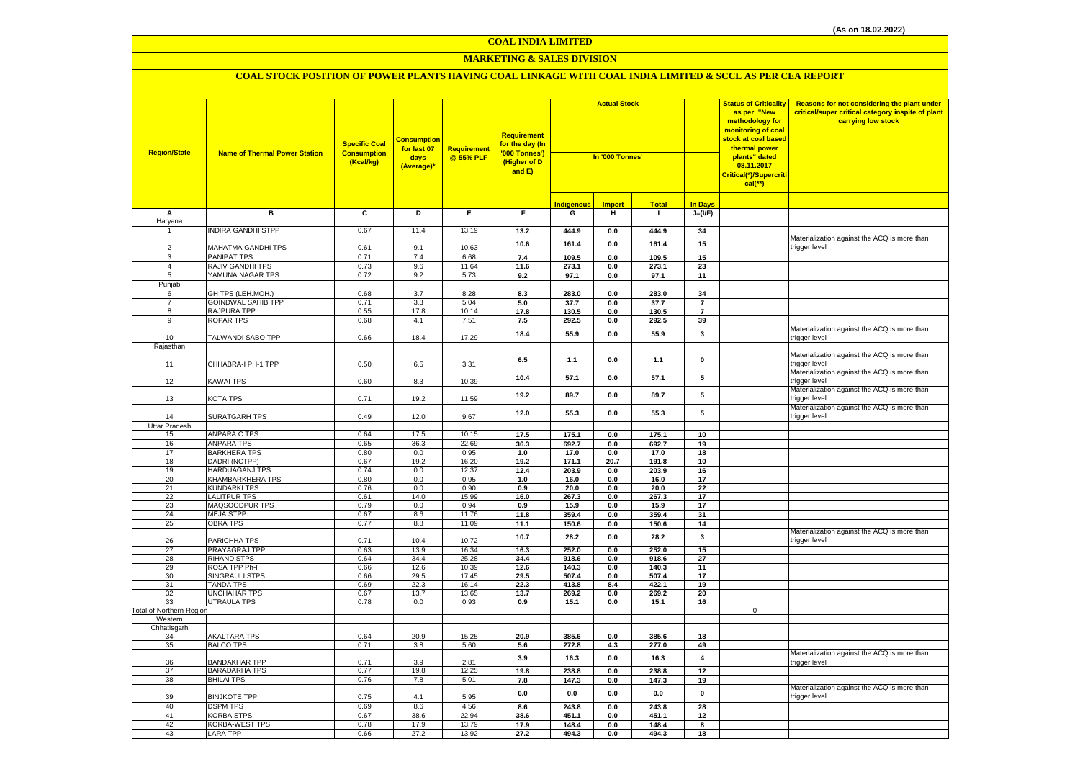#### **MARKETING & SALES DIVISION**

| <b>Region/State</b>             | <b>Name of Thermal Power Station</b> | <b>Specific Coal</b><br><b>Consumption</b><br>(Kcal/kg) | <mark>Consumption</mark><br>for last 07<br>days<br>(Average)* | <b>Requirement</b><br>@ 55% PLF | Requirement<br>for the day (In<br>'000 Tonnes')<br>(Higher of D<br>and E) | <b>Actual Stock</b><br>In '000 Tonnes' |               |              |                         | <b>Status of Criticality</b><br>as per "New<br>methodology for<br>monitoring of coal<br>stock at coal based<br>thermal power<br>plants" dated<br>08.11.2017<br>Critical(*)/Supercriti<br>$cal$ (**) | Reasons for not considering the plant under<br>critical/super critical category inspite of plant<br>carrying low stock |
|---------------------------------|--------------------------------------|---------------------------------------------------------|---------------------------------------------------------------|---------------------------------|---------------------------------------------------------------------------|----------------------------------------|---------------|--------------|-------------------------|-----------------------------------------------------------------------------------------------------------------------------------------------------------------------------------------------------|------------------------------------------------------------------------------------------------------------------------|
|                                 |                                      |                                                         |                                                               |                                 |                                                                           | <b>Indigenous</b>                      | <b>Import</b> | <b>Total</b> | <b>In Days</b>          |                                                                                                                                                                                                     |                                                                                                                        |
| A                               | в                                    | $\overline{c}$                                          | Þ                                                             | E                               | F.                                                                        | G                                      | н             | $\mathbf{I}$ | $J=(VF)$                |                                                                                                                                                                                                     |                                                                                                                        |
| Haryana                         |                                      |                                                         |                                                               |                                 |                                                                           |                                        |               |              |                         |                                                                                                                                                                                                     |                                                                                                                        |
| $\mathbf{1}$                    | <b>INDIRA GANDHI STPP</b>            | 0.67                                                    | 11.4                                                          | 13.19                           | 13.2                                                                      | 444.9                                  | 0.0           | 444.9        | 34                      |                                                                                                                                                                                                     |                                                                                                                        |
|                                 |                                      |                                                         |                                                               |                                 | 10.6                                                                      | 161.4                                  | 0.0           | 161.4        | 15                      |                                                                                                                                                                                                     | Materialization against the ACQ is more than                                                                           |
| 2                               | MAHATMA GANDHI TPS                   | 0.61                                                    | 9.1                                                           | 10.63                           |                                                                           |                                        |               |              |                         |                                                                                                                                                                                                     | trigger level                                                                                                          |
| 3                               | <b>PANIPAT TPS</b>                   | 0.71                                                    | 7.4                                                           | 6.68                            | 7.4                                                                       | 109.5                                  | 0.0           | 109.5        | 15                      |                                                                                                                                                                                                     |                                                                                                                        |
| $\overline{4}$                  | RAJIV GANDHI TPS                     | 0.73                                                    | 9.6                                                           | 11.64                           | 11.6                                                                      | 273.1                                  | 0.0           | 273.1        | 23                      |                                                                                                                                                                                                     |                                                                                                                        |
| 5                               | YAMUNA NAGAR TPS                     | 0.72                                                    | 9.2                                                           | 5.73                            | 9.2                                                                       | 97.1                                   | $0.0\,$       | 97.1         | 11                      |                                                                                                                                                                                                     |                                                                                                                        |
| Punjab                          |                                      |                                                         |                                                               |                                 |                                                                           |                                        |               |              |                         |                                                                                                                                                                                                     |                                                                                                                        |
| 6                               | GH TPS (LEH.MOH.)                    | 0.68                                                    | 3.7                                                           | 8.28                            | 8.3                                                                       | 283.0                                  | 0.0           | 283.0        | 34                      |                                                                                                                                                                                                     |                                                                                                                        |
| $\overline{7}$                  | <b>GOINDWAL SAHIB TPP</b>            | 0.71                                                    | 3.3                                                           | 5.04                            | $5.0\,$                                                                   | 37.7                                   | $0.0\,$       | 37.7         | $\overline{7}$          |                                                                                                                                                                                                     |                                                                                                                        |
| 8                               | <b>RAJPURA TPP</b>                   | 0.55                                                    | 17.8                                                          | 10.14                           | 17.8                                                                      | 130.5                                  | 0.0           | 130.5        | $\overline{7}$          |                                                                                                                                                                                                     |                                                                                                                        |
| 9                               | <b>ROPAR TPS</b>                     | 0.68                                                    | 4.1                                                           | 7.51                            | 7.5                                                                       | 292.5                                  | 0.0           | 292.5        | 39                      |                                                                                                                                                                                                     |                                                                                                                        |
| 10                              | TALWANDI SABO TPP                    | 0.66                                                    | 18.4                                                          | 17.29                           | 18.4                                                                      | 55.9                                   | 0.0           | 55.9         | 3                       |                                                                                                                                                                                                     | Materialization against the ACQ is more than<br>trigger level                                                          |
| Rajasthan                       |                                      |                                                         |                                                               |                                 |                                                                           |                                        |               |              |                         |                                                                                                                                                                                                     |                                                                                                                        |
|                                 |                                      |                                                         |                                                               |                                 |                                                                           |                                        |               |              |                         |                                                                                                                                                                                                     | Materialization against the ACQ is more than                                                                           |
| 11                              | CHHABRA-I PH-1 TPP                   | 0.50                                                    | 6.5                                                           | 3.31                            | 6.5                                                                       | 1.1                                    | 0.0           | 1.1          | 0                       |                                                                                                                                                                                                     | trigger level                                                                                                          |
|                                 |                                      |                                                         |                                                               |                                 |                                                                           |                                        |               |              |                         |                                                                                                                                                                                                     | Materialization against the ACQ is more than                                                                           |
| 12                              | <b>KAWAI TPS</b>                     | 0.60                                                    | 8.3                                                           | 10.39                           | 10.4                                                                      | 57.1                                   | $0.0\,$       | 57.1         | ${\bf 5}$               |                                                                                                                                                                                                     | trigger level                                                                                                          |
|                                 |                                      |                                                         |                                                               |                                 |                                                                           |                                        |               |              |                         |                                                                                                                                                                                                     | Materialization against the ACQ is more than                                                                           |
| 13                              | KOTA TPS                             | 0.71                                                    | 19.2                                                          | 11.59                           | 19.2                                                                      | 89.7                                   | 0.0           | 89.7         | 5                       |                                                                                                                                                                                                     | trigger level                                                                                                          |
|                                 |                                      |                                                         |                                                               |                                 |                                                                           |                                        |               |              |                         |                                                                                                                                                                                                     | Materialization against the ACQ is more than                                                                           |
| 14                              | SURATGARH TPS                        | 0.49                                                    | 12.0                                                          | 9.67                            | 12.0                                                                      | 55.3                                   | 0.0           | 55.3         | 5                       |                                                                                                                                                                                                     | trigger level                                                                                                          |
| Uttar Pradesh                   |                                      |                                                         |                                                               |                                 |                                                                           |                                        |               |              |                         |                                                                                                                                                                                                     |                                                                                                                        |
| 15                              | <b>ANPARA C TPS</b>                  | 0.64                                                    | 17.5                                                          | 10.15                           | 17.5                                                                      | 175.1                                  | 0.0           | 175.1        | 10                      |                                                                                                                                                                                                     |                                                                                                                        |
| 16                              | <b>ANPARA TPS</b>                    | 0.65                                                    | 36.3                                                          | 22.69                           | 36.3                                                                      | 692.7                                  | 0.0           | 692.7        | 19                      |                                                                                                                                                                                                     |                                                                                                                        |
| 17                              | <b>BARKHERA TPS</b>                  | 0.80                                                    | 0.0                                                           | 0.95                            | 1.0                                                                       | 17.0                                   | 0.0           | 17.0         | 18                      |                                                                                                                                                                                                     |                                                                                                                        |
| 18                              | DADRI (NCTPP)                        | 0.67                                                    | 19.2                                                          | 16.20                           | 19.2                                                                      | 171.1                                  | 20.7          | 191.8        | 10                      |                                                                                                                                                                                                     |                                                                                                                        |
| 19                              | <b>HARDUAGANJ TPS</b>                | 0.74                                                    | 0.0                                                           | 12.37                           | 12.4                                                                      | 203.9                                  | 0.0           | 203.9        | 16                      |                                                                                                                                                                                                     |                                                                                                                        |
| 20                              | KHAMBARKHERA TPS                     | 0.80                                                    | 0.0                                                           | 0.95                            | 1.0                                                                       | 16.0                                   | 0.0           | 16.0         | 17                      |                                                                                                                                                                                                     |                                                                                                                        |
| 21                              | <b>KUNDARKI TPS</b>                  | 0.76                                                    | 0.0                                                           | 0.90                            | 0.9                                                                       | 20.0                                   | 0.0           | 20.0         | 22                      |                                                                                                                                                                                                     |                                                                                                                        |
| 22                              | <b>LALITPUR TPS</b>                  | 0.61                                                    | 14.0                                                          | 15.99                           | 16.0                                                                      | 267.3                                  | 0.0           | 267.3        | 17                      |                                                                                                                                                                                                     |                                                                                                                        |
| 23                              | MAQSOODPUR TPS                       | 0.79                                                    | 0.0                                                           | 0.94                            | 0.9                                                                       | 15.9                                   | 0.0           | 15.9         | 17                      |                                                                                                                                                                                                     |                                                                                                                        |
| 24                              | <b>MEJA STPP</b>                     | 0.67                                                    | 8.6                                                           | 11.76                           | 11.8                                                                      | 359.4                                  | 0.0           | 359.4        | 31                      |                                                                                                                                                                                                     |                                                                                                                        |
| 25                              | <b>OBRA TPS</b>                      | 0.77                                                    | 8.8                                                           | 11.09                           | 11.1                                                                      | 150.6                                  | 0.0           | 150.6        | 14                      |                                                                                                                                                                                                     |                                                                                                                        |
|                                 |                                      |                                                         |                                                               |                                 | 10.7                                                                      | 28.2                                   | $0.0\,$       | 28.2         | $\mathbf{3}$            |                                                                                                                                                                                                     | Materialization against the ACQ is more than                                                                           |
| 26<br>27                        | PARICHHA TPS<br>PRAYAGRAJ TPP        | 0.71<br>0.63                                            | 10.4<br>13.9                                                  | 10.72<br>16.34                  | 16.3                                                                      | 252.0                                  | 0.0           | 252.0        | 15                      |                                                                                                                                                                                                     | trigger level                                                                                                          |
| 28                              | <b>RIHAND STPS</b>                   | 0.64                                                    | 34.4                                                          | 25.28                           | 34.4                                                                      | 918.6                                  | 0.0           | 918.6        | 27                      |                                                                                                                                                                                                     |                                                                                                                        |
| 29                              | ROSA TPP Ph-I                        | 0.66                                                    | 12.6                                                          | 10.39                           | 12.6                                                                      | 140.3                                  | 0.0           | 140.3        | 11                      |                                                                                                                                                                                                     |                                                                                                                        |
| 30                              | <b>SINGRAULI STPS</b>                | 0.66                                                    | 29.5                                                          | 17.45                           | 29.5                                                                      | 507.4                                  | 0.0           | 507.4        | 17                      |                                                                                                                                                                                                     |                                                                                                                        |
| 31                              | <b>TANDA TPS</b>                     | 0.69                                                    | 22.3                                                          | 16.14                           | 22.3                                                                      | 413.8                                  | 8.4           | 422.1        | 19                      |                                                                                                                                                                                                     |                                                                                                                        |
| 32                              | <b>UNCHAHAR TPS</b>                  | 0.67                                                    | 13.7                                                          | 13.65                           | 13.7                                                                      | 269.2                                  | 0.0           | 269.2        | 20                      |                                                                                                                                                                                                     |                                                                                                                        |
| 33                              | <b>UTRAULA TPS</b>                   | 0.78                                                    | 0.0                                                           | 0.93                            | 0.9                                                                       | 15.1                                   | 0.0           | 15.1         | 16                      |                                                                                                                                                                                                     |                                                                                                                        |
| <b>Fotal of Northern Region</b> |                                      |                                                         |                                                               |                                 |                                                                           |                                        |               |              |                         | $\mathsf 0$                                                                                                                                                                                         |                                                                                                                        |
| Western                         |                                      |                                                         |                                                               |                                 |                                                                           |                                        |               |              |                         |                                                                                                                                                                                                     |                                                                                                                        |
| Chhatisgarh                     |                                      |                                                         |                                                               |                                 |                                                                           |                                        |               |              |                         |                                                                                                                                                                                                     |                                                                                                                        |
| 34                              | <b>AKALTARA TPS</b>                  | 0.64                                                    | 20.9                                                          | 15.25                           | 20.9                                                                      | 385.6                                  | 0.0           | 385.6        | 18                      |                                                                                                                                                                                                     |                                                                                                                        |
| 35                              | <b>BALCO TPS</b>                     | 0.71                                                    | 3.8                                                           | 5.60                            | 5.6                                                                       | 272.8                                  | 4.3           | 277.0        | 49                      |                                                                                                                                                                                                     |                                                                                                                        |
|                                 |                                      |                                                         |                                                               |                                 | 3.9                                                                       | 16.3                                   | 0.0           | 16.3         | $\overline{\mathbf{4}}$ |                                                                                                                                                                                                     | Materialization against the ACQ is more than                                                                           |
| 36                              | <b>BANDAKHAR TPP</b>                 | 0.71                                                    | 3.9                                                           | 2.81                            |                                                                           |                                        |               |              |                         |                                                                                                                                                                                                     | trigger level                                                                                                          |
| 37                              | <b>BARADARHA TPS</b>                 | 0.77                                                    | 19.8                                                          | 12.25                           | 19.8                                                                      | 238.8                                  | 0.0           | 238.8        | 12                      |                                                                                                                                                                                                     |                                                                                                                        |
| 38                              | <b>BHILAI TPS</b>                    | 0.76                                                    | 7.8                                                           | 5.01                            | 7.8                                                                       | 147.3                                  | $0.0\,$       | 147.3        | 19                      |                                                                                                                                                                                                     | Materialization against the ACQ is more than                                                                           |
| 39                              | <b>BINJKOTE TPP</b>                  | 0.75                                                    | 4.1                                                           | 5.95                            | 6.0                                                                       | 0.0                                    | 0.0           | 0.0          | $\mathbf 0$             |                                                                                                                                                                                                     | trigger level                                                                                                          |
| 40                              | <b>DSPM TPS</b>                      | 0.69                                                    | 8.6                                                           | 4.56                            | 8.6                                                                       | 243.8                                  | 0.0           | 243.8        | 28                      |                                                                                                                                                                                                     |                                                                                                                        |
| 41                              | <b>KORBA STPS</b>                    | 0.67                                                    | 38.6                                                          | 22.94                           | 38.6                                                                      | 451.1                                  | 0.0           | 451.1        | 12                      |                                                                                                                                                                                                     |                                                                                                                        |
| 42                              | <b>KORBA-WEST TPS</b>                | 0.78                                                    | 17.9                                                          | 13.79                           | 17.9                                                                      | 148.4                                  | 0.0           | 148.4        | 8                       |                                                                                                                                                                                                     |                                                                                                                        |
| 43                              | <b>LARA TPP</b>                      | 0.66                                                    | 27.2                                                          | 13.92                           | 27.2                                                                      | 494.3                                  | 0.0           | 494.3        | 18                      |                                                                                                                                                                                                     |                                                                                                                        |
|                                 |                                      |                                                         |                                                               |                                 |                                                                           |                                        |               |              |                         |                                                                                                                                                                                                     |                                                                                                                        |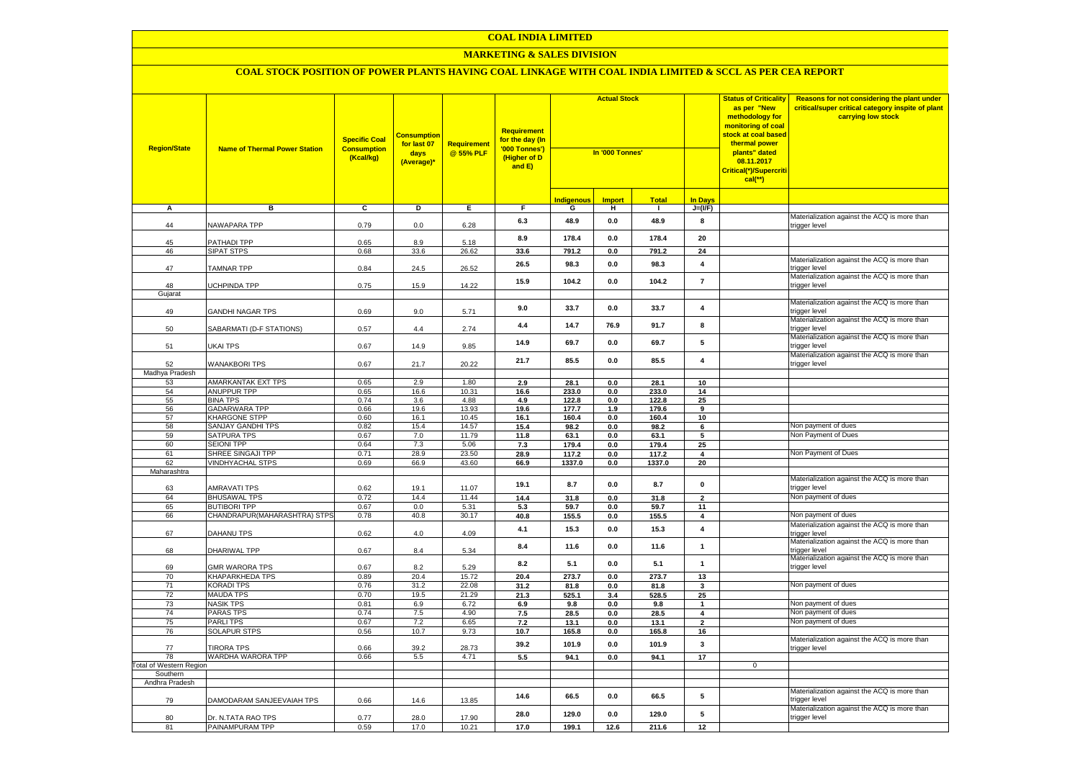## **MARKETING & SALES DIVISION**

| <b>Region/State</b>            | <b>Name of Thermal Power Station</b>    | <b>Specific Coal</b><br><b>Consumption</b><br>(Kcal/kg) | <b>Consumption</b><br>for last 07<br>days<br>(Average)* | <b>Requirement</b><br>@ 55% PLF | <b>Requirement</b><br>for the day (In<br>'000 Tonnes')<br>(Higher of D<br>and E) | <b>Actual Stock</b><br>In '000 Tonnes' |                |                |                         | <b>Status of Criticality</b><br>as per "New<br>methodology for<br><mark>monitoring of coal</mark><br><mark>stock at coal based</mark><br>thermal power<br>plants" dated<br>08.11.2017<br>Critical(*)/Supercriti<br>$cal$ (**) | Reasons for not considering the plant under<br>critical/super critical category inspite of plant<br>carrying low stock |
|--------------------------------|-----------------------------------------|---------------------------------------------------------|---------------------------------------------------------|---------------------------------|----------------------------------------------------------------------------------|----------------------------------------|----------------|----------------|-------------------------|-------------------------------------------------------------------------------------------------------------------------------------------------------------------------------------------------------------------------------|------------------------------------------------------------------------------------------------------------------------|
|                                |                                         |                                                         |                                                         |                                 |                                                                                  | <b>Indigenous</b>                      | <b>Import</b>  | <b>Total</b>   | <b>In Davs</b>          |                                                                                                                                                                                                                               |                                                                                                                        |
| А                              | в                                       | c                                                       | Þ                                                       | E                               | F                                                                                | G                                      | н              | п.             | $J=(VF)$                |                                                                                                                                                                                                                               |                                                                                                                        |
| 44                             | NAWAPARA TPP                            | 0.79                                                    | 0.0                                                     | 6.28                            | 6.3                                                                              | 48.9                                   | 0.0            | 48.9           | 8                       |                                                                                                                                                                                                                               | Materialization against the ACQ is more than<br>trigger level                                                          |
| 45                             | PATHADI TPP                             | 0.65                                                    | 8.9                                                     | 5.18                            | 8.9                                                                              | 178.4                                  | 0.0            | 178.4          | 20                      |                                                                                                                                                                                                                               |                                                                                                                        |
| 46                             | <b>SIPAT STPS</b>                       | 0.68                                                    | 33.6                                                    | 26.62                           | 33.6                                                                             | 791.2                                  | 0.0            | 791.2          | 24                      |                                                                                                                                                                                                                               |                                                                                                                        |
| 47                             | <b>TAMNAR TPP</b>                       | 0.84                                                    | 24.5                                                    | 26.52                           | 26.5                                                                             | 98.3                                   | $0.0\,$        | 98.3           | $\overline{\mathbf{4}}$ |                                                                                                                                                                                                                               | Materialization against the ACQ is more than<br>trigger level                                                          |
| 48                             | UCHPINDA TPP                            | 0.75                                                    | 15.9                                                    | 14.22                           | 15.9                                                                             | 104.2                                  | 0.0            | 104.2          | $\overline{7}$          |                                                                                                                                                                                                                               | Materialization against the ACQ is more than<br>trigger level                                                          |
| Gujarat                        |                                         |                                                         |                                                         |                                 |                                                                                  |                                        |                |                |                         |                                                                                                                                                                                                                               | Materialization against the ACQ is more than                                                                           |
| 49                             | <b>GANDHI NAGAR TPS</b>                 | 0.69                                                    | 9.0                                                     | 5.71                            | 9.0                                                                              | 33.7                                   | $0.0\,$        | 33.7           | $\overline{\mathbf{4}}$ |                                                                                                                                                                                                                               | trigger level                                                                                                          |
| 50                             | SABARMATI (D-F STATIONS)                | 0.57                                                    | 4.4                                                     | 2.74                            | 4.4                                                                              | 14.7                                   | 76.9           | 91.7           | 8                       |                                                                                                                                                                                                                               | Materialization against the ACQ is more than<br>trigger level                                                          |
| 51                             | UKAI TPS                                | 0.67                                                    | 14.9                                                    | 9.85                            | 14.9                                                                             | 69.7                                   | 0.0            | 69.7           | 5                       |                                                                                                                                                                                                                               | Materialization against the ACQ is more than<br>trigger level                                                          |
| 52                             | <b>WANAKBORI TPS</b>                    | 0.67                                                    | 21.7                                                    | 20.22                           | 21.7                                                                             | 85.5                                   | 0.0            | 85.5           | $\overline{\mathbf{4}}$ |                                                                                                                                                                                                                               | Materialization against the ACQ is more than<br>trigger level                                                          |
| Madhya Pradesh                 |                                         |                                                         |                                                         |                                 |                                                                                  |                                        |                |                |                         |                                                                                                                                                                                                                               |                                                                                                                        |
| 53                             | <b>AMARKANTAK EXT TPS</b>               | 0.65                                                    | 2.9                                                     | 1.80                            | 2.9                                                                              | 28.1                                   | 0.0            | 28.1           | 10                      |                                                                                                                                                                                                                               |                                                                                                                        |
| 54                             | ANUPPUR TPP                             | 0.65                                                    | 16.6                                                    | 10.31                           | 16.6                                                                             | 233.0                                  | 0.0            | 233.0          | 14                      |                                                                                                                                                                                                                               |                                                                                                                        |
| 55<br>56                       | <b>BINA TPS</b><br><b>GADARWARA TPP</b> | 0.74<br>0.66                                            | 3.6<br>19.6                                             | 4.88<br>13.93                   | 4.9<br>19.6                                                                      | 122.8<br>177.7                         | 0.0<br>1.9     | 122.8<br>179.6 | 25                      |                                                                                                                                                                                                                               |                                                                                                                        |
| 57                             | KHARGONE STPP                           | 0.60                                                    | 16.1                                                    | 10.45                           | 16.1                                                                             | 160.4                                  | 0.0            | 160.4          | 9<br>10                 |                                                                                                                                                                                                                               |                                                                                                                        |
| 58                             | <b>SANJAY GANDHI TPS</b>                | 0.82                                                    | 15.4                                                    | 14.57                           | 15.4                                                                             | 98.2                                   | 0.0            | 98.2           | $\bf{6}$                |                                                                                                                                                                                                                               | Non payment of dues                                                                                                    |
| 59                             | SATPURA TPS                             | 0.67                                                    | 7.0                                                     | 11.79                           | 11.8                                                                             | 63.1                                   | 0.0            | 63.1           | $\overline{\mathbf{5}}$ |                                                                                                                                                                                                                               | Non Payment of Dues                                                                                                    |
| 60                             | <b>SEIONI TPP</b>                       | 0.64                                                    | 7.3                                                     | 5.06                            | 7.3                                                                              | 179.4                                  | 0.0            | 179.4          | 25                      |                                                                                                                                                                                                                               |                                                                                                                        |
| 61                             | SHREE SINGAJI TPP                       | 0.71                                                    | 28.9                                                    | 23.50                           | 28.9                                                                             | 117.2                                  | 0.0            | 117.2          | 4                       |                                                                                                                                                                                                                               | Non Payment of Dues                                                                                                    |
| 62                             | <b>VINDHYACHAL STPS</b>                 | 0.69                                                    | 66.9                                                    | 43.60                           | 66.9                                                                             | 1337.0                                 | $0.0\,$        | 1337.0         | 20                      |                                                                                                                                                                                                                               |                                                                                                                        |
| Maharashtra                    |                                         |                                                         |                                                         |                                 |                                                                                  |                                        |                |                |                         |                                                                                                                                                                                                                               |                                                                                                                        |
| 63                             | <b>AMRAVATI TPS</b>                     | 0.62                                                    | 19.1                                                    | 11.07                           | 19.1                                                                             | 8.7                                    | 0.0            | 8.7            | $\pmb{0}$               |                                                                                                                                                                                                                               | Materialization against the ACQ is more than<br>trigger level                                                          |
| 64                             | <b>BHUSAWAL TPS</b>                     | 0.72                                                    | 14.4                                                    | 11.44                           | 14.4                                                                             | 31.8                                   | 0.0            | 31.8           | $\overline{2}$          |                                                                                                                                                                                                                               | Non payment of dues                                                                                                    |
| 65                             | <b>BUTIBORI TPP</b>                     | 0.67                                                    | 0.0                                                     | 5.31                            | 5.3                                                                              | 59.7                                   | 0.0            | 59.7           | 11                      |                                                                                                                                                                                                                               |                                                                                                                        |
| 66                             | CHANDRAPUR(MAHARASHTRA) STPS            | 0.78                                                    | 40.8                                                    | 30.17                           | 40.8                                                                             | 155.5                                  | 0.0            | 155.5          | 4                       |                                                                                                                                                                                                                               | Non payment of dues                                                                                                    |
| 67                             | DAHANU TPS                              | 0.62                                                    | 4.0                                                     | 4.09                            | 4.1                                                                              | 15.3                                   | 0.0            | 15.3           | 4                       |                                                                                                                                                                                                                               | Materialization against the ACQ is more than<br>trigger level                                                          |
| 68                             | DHARIWAL TPP                            | 0.67                                                    | 8.4                                                     | 5.34                            | 8.4                                                                              | 11.6                                   | 0.0            | 11.6           | $\mathbf{1}$            |                                                                                                                                                                                                                               | Materialization against the ACQ is more than<br>trigger level                                                          |
| 69                             | <b>GMR WARORA TPS</b>                   | 0.67                                                    | 8.2                                                     | 5.29                            | 8.2                                                                              | 5.1                                    | 0.0            | 5.1            | $\mathbf{1}$            |                                                                                                                                                                                                                               | Materialization against the ACQ is more than<br>trigger level                                                          |
| 70                             | KHAPARKHEDA TPS                         | 0.89                                                    | 20.4                                                    | 15.72                           | 20.4                                                                             | 273.7                                  | 0.0            | 273.7          | 13                      |                                                                                                                                                                                                                               |                                                                                                                        |
| 71                             | <b>KORADI TPS</b>                       | 0.76                                                    | 31.2                                                    | 22.08                           | 31.2                                                                             | 81.8                                   | 0.0            | 81.8           | 3                       |                                                                                                                                                                                                                               | Non payment of dues                                                                                                    |
| 72<br>73                       | <b>MAUDA TPS</b><br><b>NASIK TPS</b>    | 0.70<br>0.81                                            | 19.5<br>6.9                                             | 21.29<br>6.72                   | 21.3                                                                             | 525.1                                  | 3.4            | 528.5          | 25<br>$\mathbf{1}$      |                                                                                                                                                                                                                               | Non payment of dues                                                                                                    |
| 74                             | <b>PARAS TPS</b>                        | 0.74                                                    | 7.5                                                     | 4.90                            | 6.9<br>7.5                                                                       | 9.8                                    | $0.0\,$<br>0.0 | 9.8            | $\overline{\mathbf{4}}$ |                                                                                                                                                                                                                               | Non payment of dues                                                                                                    |
| 75                             | <b>PARLITPS</b>                         | 0.67                                                    | 7.2                                                     | 6.65                            | 7.2                                                                              | 28.5<br>13.1                           | 0.0            | 28.5<br>13.1   | $\overline{2}$          |                                                                                                                                                                                                                               | Non payment of dues                                                                                                    |
| 76                             | <b>SOLAPUR STPS</b>                     | 0.56                                                    | 10.7                                                    | 9.73                            | 10.7                                                                             | 165.8                                  | 0.0            | 165.8          | 16                      |                                                                                                                                                                                                                               |                                                                                                                        |
| 77                             | <b>TIRORA TPS</b>                       | 0.66                                                    | 39.2                                                    | 28.73                           | 39.2                                                                             | 101.9                                  | 0.0            | 101.9          | 3                       |                                                                                                                                                                                                                               | Materialization against the ACQ is more than<br>trigger level                                                          |
| 78                             | WARDHA WARORA TPP                       | 0.66                                                    | 5.5                                                     | 4.71                            | 5.5                                                                              | 94.1                                   | 0.0            | 94.1           | 17                      |                                                                                                                                                                                                                               |                                                                                                                        |
| <b>Total of Western Region</b> |                                         |                                                         |                                                         |                                 |                                                                                  |                                        |                |                |                         | $\mathbf 0$                                                                                                                                                                                                                   |                                                                                                                        |
| Southern                       |                                         |                                                         |                                                         |                                 |                                                                                  |                                        |                |                |                         |                                                                                                                                                                                                                               |                                                                                                                        |
| Andhra Pradesh                 |                                         |                                                         |                                                         |                                 |                                                                                  |                                        |                |                |                         |                                                                                                                                                                                                                               |                                                                                                                        |
| 79                             | DAMODARAM SANJEEVAIAH TPS               | 0.66                                                    | 14.6                                                    | 13.85                           | 14.6                                                                             | 66.5                                   | $0.0\,$        | 66.5           | ${\bf 5}$               |                                                                                                                                                                                                                               | Materialization against the ACQ is more than<br>rigger level                                                           |
| 80                             | Dr. N.TATA RAO TPS                      | 0.77                                                    | 28.0                                                    | 17.90                           | 28.0                                                                             | 129.0                                  | 0.0            | 129.0          | 5                       |                                                                                                                                                                                                                               | Materialization against the ACQ is more than<br>trigger level                                                          |
| 81                             | PAINAMPURAM TPP                         | 0.59                                                    | 17.0                                                    | 10.21                           | 17.0                                                                             | 199.1                                  | 12.6           | 211.6          | 12                      |                                                                                                                                                                                                                               |                                                                                                                        |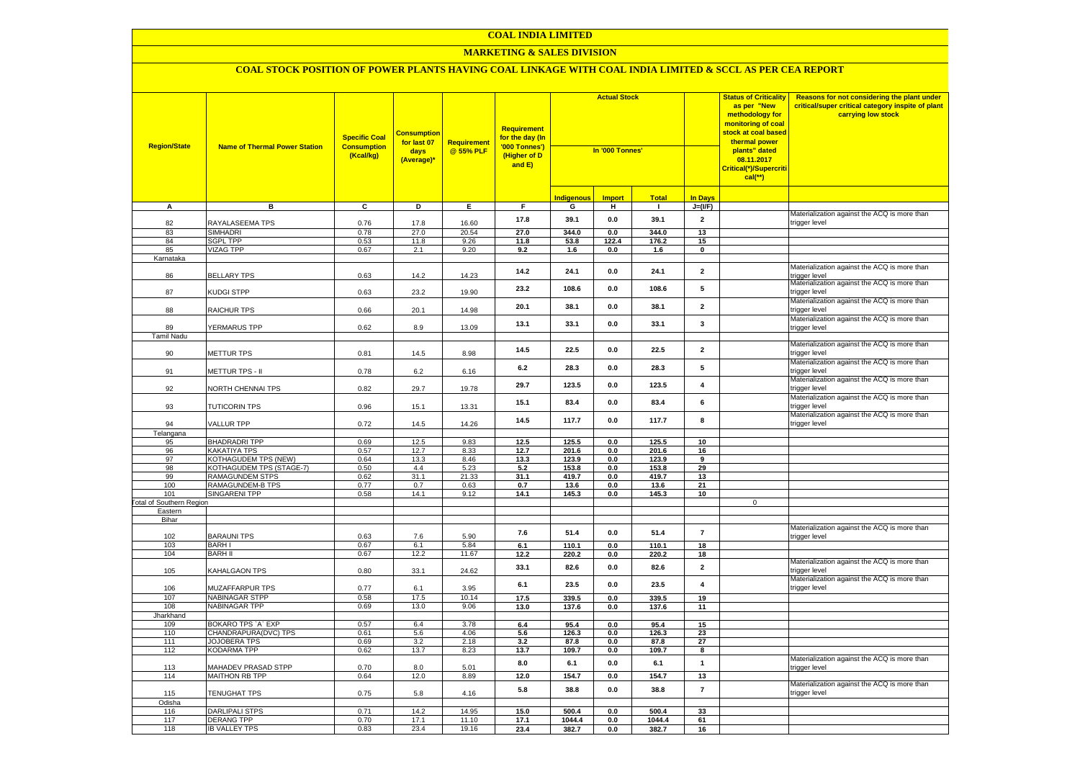#### **MARKETING & SALES DIVISION**

| <b>Region/State</b>             | <b>Name of Thermal Power Station</b>               | <b>Specific Coal</b><br><b>Consumption</b><br>(Kcal/kg) | <b>Consumption</b><br>for last 07<br>days<br>(Average)* | <b>Requirement</b><br>@ 55% PLF | <b>Requirement</b><br>for the day (In<br>'000 Tonnes')<br>(Higher of D<br>and E) | <b>Actual Stock</b><br>In '000 Tonnes' |                |                |                         | <b>Status of Criticality</b><br>as per "New<br>methodology for<br>monitoring of coal<br><mark>stock at coal based</mark><br>thermal power<br>plants" dated<br>08.11.2017<br>Critical(*)/Supercriti<br>$cal$ (**) | Reasons for not considering the plant under<br>critical/super critical category inspite of plant<br>carrying low stock |
|---------------------------------|----------------------------------------------------|---------------------------------------------------------|---------------------------------------------------------|---------------------------------|----------------------------------------------------------------------------------|----------------------------------------|----------------|----------------|-------------------------|------------------------------------------------------------------------------------------------------------------------------------------------------------------------------------------------------------------|------------------------------------------------------------------------------------------------------------------------|
|                                 |                                                    |                                                         |                                                         |                                 |                                                                                  | <b>Indigenous</b>                      | <b>Import</b>  | <b>Total</b>   | <b>In Days</b>          |                                                                                                                                                                                                                  |                                                                                                                        |
| A                               | в                                                  | C                                                       | D                                                       | Е.                              | F.                                                                               | G                                      | н              | $\mathbf{I}$   | $J=(VF)$                |                                                                                                                                                                                                                  |                                                                                                                        |
| 82                              | RAYALASEEMA TPS                                    | 0.76                                                    | 17.8                                                    | 16.60                           | 17.8                                                                             | 39.1                                   | 0.0            | 39.1           | $\overline{2}$          |                                                                                                                                                                                                                  | Materialization against the ACQ is more than<br>trigger level                                                          |
| 83                              | <b>SIMHADRI</b>                                    | 0.78                                                    | 27.0                                                    | 20.54                           | 27.0                                                                             | 344.0                                  | 0.0            | 344.0          | 13                      |                                                                                                                                                                                                                  |                                                                                                                        |
| 84                              | <b>SGPL TPP</b>                                    | 0.53                                                    | 11.8                                                    | 9.26                            | 11.8                                                                             | 53.8                                   | 122.4          | 176.2          | 15                      |                                                                                                                                                                                                                  |                                                                                                                        |
| 85                              | <b>VIZAG TPP</b>                                   | 0.67                                                    | 2.1                                                     | 9.20                            | 9.2                                                                              | 1.6                                    | $0.0\,$        | 1.6            | $\pmb{0}$               |                                                                                                                                                                                                                  |                                                                                                                        |
| Karnataka<br>86                 | <b>BELLARY TPS</b>                                 | 0.63                                                    | 14.2                                                    | 14.23                           | 14.2                                                                             | 24.1                                   | 0.0            | 24.1           | $\overline{\mathbf{2}}$ |                                                                                                                                                                                                                  | Materialization against the ACQ is more than                                                                           |
| 87                              | KUDGI STPP                                         | 0.63                                                    | 23.2                                                    | 19.90                           | 23.2                                                                             | 108.6                                  | 0.0            | 108.6          | 5                       |                                                                                                                                                                                                                  | trigger level<br>Materialization against the ACQ is more than<br>trigger level                                         |
| 88                              | RAICHUR TPS                                        | 0.66                                                    | 20.1                                                    | 14.98                           | 20.1                                                                             | 38.1                                   | 0.0            | 38.1           | $\overline{\mathbf{2}}$ |                                                                                                                                                                                                                  | Materialization against the ACQ is more than<br>trigger level                                                          |
| 89                              | YERMARUS TPP                                       | 0.62                                                    | 8.9                                                     | 13.09                           | 13.1                                                                             | 33.1                                   | 0.0            | 33.1           | $\mathbf{3}$            |                                                                                                                                                                                                                  | Materialization against the ACQ is more than<br>trigger level                                                          |
| <b>Tamil Nadu</b>               |                                                    |                                                         |                                                         |                                 |                                                                                  |                                        |                |                |                         |                                                                                                                                                                                                                  |                                                                                                                        |
| 90                              | METTUR TPS                                         | 0.81                                                    | 14.5                                                    | 8.98                            | 14.5                                                                             | 22.5                                   | $0.0\,$        | 22.5           | $\overline{2}$          |                                                                                                                                                                                                                  | Materialization against the ACQ is more than<br>rigger level                                                           |
| 91                              | METTUR TPS - II                                    | 0.78                                                    | $6.2\,$                                                 | 6.16                            | 6.2                                                                              | 28.3                                   | 0.0            | 28.3           | 5                       |                                                                                                                                                                                                                  | Materialization against the ACQ is more than<br>rigger level                                                           |
| 92                              | NORTH CHENNAI TPS                                  | 0.82                                                    | 29.7                                                    | 19.78                           | 29.7                                                                             | 123.5                                  | 0.0            | 123.5          | $\overline{\mathbf{4}}$ |                                                                                                                                                                                                                  | Materialization against the ACQ is more than<br>rigger level                                                           |
| 93                              | <b>TUTICORIN TPS</b>                               | 0.96                                                    | 15.1                                                    | 13.31                           | 15.1                                                                             | 83.4                                   | 0.0            | 83.4           | 6                       |                                                                                                                                                                                                                  | Materialization against the ACQ is more than<br>rigger level                                                           |
| 94                              | VALLUR TPP                                         | 0.72                                                    | 14.5                                                    | 14.26                           | 14.5                                                                             | 117.7                                  | 0.0            | 117.7          | 8                       |                                                                                                                                                                                                                  | Materialization against the ACQ is more than<br>rigger level                                                           |
| Telangana                       |                                                    |                                                         |                                                         |                                 |                                                                                  |                                        |                |                |                         |                                                                                                                                                                                                                  |                                                                                                                        |
| 95                              | <b>BHADRADRI TPP</b>                               | 0.69                                                    | 12.5                                                    | 9.83                            | 12.5                                                                             | 125.5                                  | 0.0            | 125.5          | 10                      |                                                                                                                                                                                                                  |                                                                                                                        |
| 96<br>97                        | <b>KAKATIYA TPS</b><br><b>KOTHAGUDEM TPS (NEW)</b> | 0.57<br>0.64                                            | 12.7<br>13.3                                            | 8.33<br>8.46                    | 12.7<br>13.3                                                                     | 201.6<br>123.9                         | 0.0<br>0.0     | 201.6<br>123.9 | 16<br>$\overline{9}$    |                                                                                                                                                                                                                  |                                                                                                                        |
| 98                              | KOTHAGUDEM TPS (STAGE-7)                           | 0.50                                                    | 4.4                                                     | 5.23                            | 5.2                                                                              | 153.8                                  | 0.0            | 153.8          | 29                      |                                                                                                                                                                                                                  |                                                                                                                        |
| 99                              | RAMAGUNDEM STPS                                    | 0.62                                                    | 31.1                                                    | 21.33                           | 31.1                                                                             | 419.7                                  | $0.0\,$        | 419.7          | 13                      |                                                                                                                                                                                                                  |                                                                                                                        |
| 100                             | RAMAGUNDEM-B TPS                                   | 0.77                                                    | 0.7                                                     | 0.63                            | 0.7                                                                              | 13.6                                   | $0.0\,$        | 13.6           | 21                      |                                                                                                                                                                                                                  |                                                                                                                        |
| 101                             | <b>SINGARENI TPP</b>                               | 0.58                                                    | 14.1                                                    | 9.12                            | 14.1                                                                             | 145.3                                  | 0.0            | 145.3          | 10                      |                                                                                                                                                                                                                  |                                                                                                                        |
| <b>Total of Southern Region</b> |                                                    |                                                         |                                                         |                                 |                                                                                  |                                        |                |                |                         | $\mathsf 0$                                                                                                                                                                                                      |                                                                                                                        |
| Eastern<br>Bihar                |                                                    |                                                         |                                                         |                                 |                                                                                  |                                        |                |                |                         |                                                                                                                                                                                                                  |                                                                                                                        |
|                                 |                                                    |                                                         |                                                         |                                 |                                                                                  |                                        |                |                |                         |                                                                                                                                                                                                                  | Materialization against the ACQ is more than                                                                           |
| 102                             | <b>BARAUNI TPS</b>                                 | 0.63                                                    | 7.6                                                     | 5.90                            | 7.6                                                                              | 51.4                                   | 0.0            | 51.4           | $\overline{7}$          |                                                                                                                                                                                                                  | rigger level                                                                                                           |
| 103                             | <b>BARH I</b>                                      | 0.67                                                    | 6.1                                                     | 5.84                            | 6.1                                                                              | 110.1                                  | 0.0            | 110.1          | 18                      |                                                                                                                                                                                                                  |                                                                                                                        |
| 104                             | <b>BARH II</b>                                     | 0.67                                                    | 12.2                                                    | 11.67                           | 12.2                                                                             | 220.2                                  | 0.0            | 220.2          | 18                      |                                                                                                                                                                                                                  | Materialization against the ACQ is more than                                                                           |
| 105                             | KAHALGAON TPS                                      | 0.80                                                    | 33.1                                                    | 24.62                           | 33.1                                                                             | 82.6                                   | 0.0            | 82.6           | $\overline{\mathbf{2}}$ |                                                                                                                                                                                                                  | rigger level<br>Materialization against the ACQ is more than                                                           |
| 106                             | <b>MUZAFFARPUR TPS</b>                             | 0.77                                                    | 6.1                                                     | 3.95<br>10.14                   | 6.1                                                                              | 23.5                                   | 0.0            | 23.5           | $\overline{\mathbf{4}}$ |                                                                                                                                                                                                                  | rigger level                                                                                                           |
| 107<br>108                      | <b>NABINAGAR STPP</b><br><b>NABINAGAR TPP</b>      | 0.58<br>0.69                                            | 17.5<br>13.0                                            | 9.06                            | 17.5<br>13.0                                                                     | 339.5<br>137.6                         | 0.0<br>0.0     | 339.5<br>137.6 | 19<br>11                |                                                                                                                                                                                                                  |                                                                                                                        |
| Jharkhand                       |                                                    |                                                         |                                                         |                                 |                                                                                  |                                        |                |                |                         |                                                                                                                                                                                                                  |                                                                                                                        |
| 109                             | BOKARO TPS `A` EXP                                 | 0.57                                                    | 6.4                                                     | 3.78                            | 6.4                                                                              | 95.4                                   | 0.0            | 95.4           | 15                      |                                                                                                                                                                                                                  |                                                                                                                        |
| 110                             | CHANDRAPURA(DVC) TPS                               | 0.61                                                    | 5.6                                                     | 4.06                            | 5.6                                                                              | 126.3                                  | 0.0            | 126.3          | 23                      |                                                                                                                                                                                                                  |                                                                                                                        |
| 111                             | <b>JOJOBERA TPS</b>                                | 0.69                                                    | 3.2                                                     | 2.18                            | 3.2                                                                              | 87.8                                   | 0.0            | 87.8           | 27                      |                                                                                                                                                                                                                  |                                                                                                                        |
| 112                             | <b>KODARMA TPP</b>                                 | 0.62                                                    | 13.7                                                    | 8.23                            | 13.7                                                                             | 109.7                                  | 0.0            | 109.7          | 8                       |                                                                                                                                                                                                                  | Materialization against the ACQ is more than                                                                           |
| 113<br>114                      | MAHADEV PRASAD STPP<br><b>MAITHON RB TPP</b>       | 0.70<br>0.64                                            | 8.0<br>12.0                                             | 5.01<br>8.89                    | 8.0<br>12.0                                                                      | 6.1<br>154.7                           | $0.0\,$<br>0.0 | 6.1<br>154.7   | $\mathbf{1}$<br>13      |                                                                                                                                                                                                                  | rigger level                                                                                                           |
|                                 |                                                    |                                                         |                                                         |                                 |                                                                                  |                                        |                |                |                         |                                                                                                                                                                                                                  | Materialization against the ACQ is more than                                                                           |
| 115<br>Odisha                   | <b>TENUGHAT TPS</b>                                | 0.75                                                    | 5.8                                                     | 4.16                            | 5.8                                                                              | 38.8                                   | $0.0\,$        | 38.8           | $\overline{7}$          |                                                                                                                                                                                                                  | rigger level                                                                                                           |
| 116                             | <b>DARLIPALI STPS</b>                              | 0.71                                                    | 14.2                                                    | 14.95                           | 15.0                                                                             | 500.4                                  | 0.0            | 500.4          | 33                      |                                                                                                                                                                                                                  |                                                                                                                        |
| 117                             | <b>DERANG TPP</b>                                  | 0.70                                                    | 17.1                                                    | 11.10                           | 17.1                                                                             | 1044.4                                 | 0.0            | 1044.4         | 61                      |                                                                                                                                                                                                                  |                                                                                                                        |
| 118                             | <b>IB VALLEY TPS</b>                               | 0.83                                                    | 23.4                                                    | 19.16                           | 23.4                                                                             | 382.7                                  | 0.0            | 382.7          | 16                      |                                                                                                                                                                                                                  |                                                                                                                        |